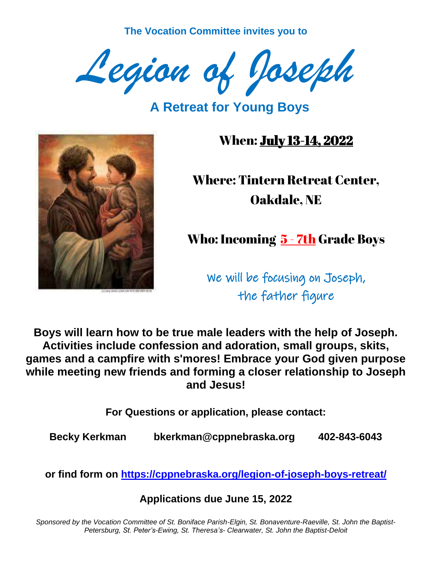**The Vocation Committee invites you to** 



**A Retreat for Young Boys**



When: July 13-14, 2022

Where: Tintern Retreat Center, Oakdale, NE

Who: Incoming 5 - 7th Grade Boys

We will be focusing on Joseph, the father figure

**Boys will learn how to be true male leaders with the help of Joseph. Activities include confession and adoration, small groups, skits, games and a campfire with s'mores! Embrace your God given purpose while meeting new friends and forming a closer relationship to Joseph and Jesus!** 

**For Questions or application, please contact:**

**Becky Kerkman bkerkman@cppnebraska.org 402-843-6043**

**or find form on<https://cppnebraska.org/legion-of-joseph-boys-retreat/>**

**Applications due June 15, 2022**

*Sponsored by the Vocation Committee of St. Boniface Parish-Elgin, St. Bonaventure-Raeville, St. John the Baptist-Petersburg, St. Peter's-Ewing, St. Theresa's- Clearwater, St. John the Baptist-Deloit*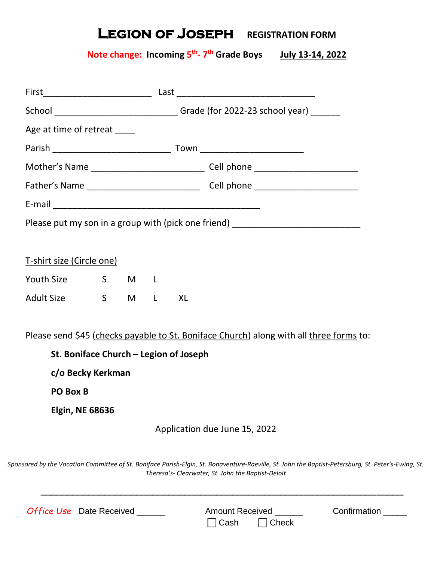# **LEGION OF JOSEPH** REGISTRATION FORM

#### **Note change: Incoming 5 th - 7 th Grade Boys July 13-14, 2022**

|                                        |                               | School ________________________________Grade (for 2022-23 school year) ________ |        |  |  |                                                                                         |  |
|----------------------------------------|-------------------------------|---------------------------------------------------------------------------------|--------|--|--|-----------------------------------------------------------------------------------------|--|
| Age at time of retreat _____           |                               |                                                                                 |        |  |  |                                                                                         |  |
|                                        |                               |                                                                                 |        |  |  |                                                                                         |  |
|                                        |                               |                                                                                 |        |  |  | Mother's Name ___________________________________Cell phone ____________________        |  |
|                                        |                               |                                                                                 |        |  |  |                                                                                         |  |
|                                        |                               |                                                                                 |        |  |  |                                                                                         |  |
|                                        |                               |                                                                                 |        |  |  | Please put my son in a group with (pick one friend) ____________________________        |  |
|                                        |                               |                                                                                 |        |  |  |                                                                                         |  |
| <u>T-shirt size (Circle one)</u>       |                               |                                                                                 |        |  |  |                                                                                         |  |
| Youth Size 5 M L                       |                               |                                                                                 |        |  |  |                                                                                         |  |
| Adult Size S                           |                               |                                                                                 | M L XL |  |  |                                                                                         |  |
|                                        |                               |                                                                                 |        |  |  |                                                                                         |  |
|                                        |                               |                                                                                 |        |  |  | Please send \$45 (checks payable to St. Boniface Church) along with all three forms to: |  |
| St. Boniface Church - Legion of Joseph |                               |                                                                                 |        |  |  |                                                                                         |  |
| c/o Becky Kerkman                      |                               |                                                                                 |        |  |  |                                                                                         |  |
| PO Box B                               |                               |                                                                                 |        |  |  |                                                                                         |  |
| <b>Elgin, NE 68636</b>                 |                               |                                                                                 |        |  |  |                                                                                         |  |
|                                        | Application due June 15, 2022 |                                                                                 |        |  |  |                                                                                         |  |
|                                        |                               |                                                                                 |        |  |  |                                                                                         |  |
|                                        |                               |                                                                                 |        |  |  |                                                                                         |  |

*Sponsored by the Vocation Committee of St. Boniface Parish-Elgin, St. Bonaventure-Raeville, St. John the Baptist-Petersburg, St. Peter's-Ewing, St. Theresa's- Clearwater, St. John the Baptist-Deloit* 

| <b>Office Use</b> Date Received | <b>Amount Received</b>   | Confirmation |
|---------------------------------|--------------------------|--------------|
|                                 | $\Box$ Cash $\Box$ Check |              |

 $\overline{\phantom{a}}$  , and the contract of the contract of the contract of the contract of the contract of the contract of the contract of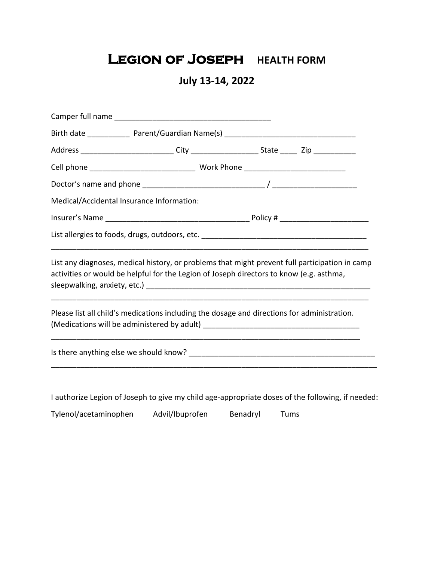# **LEGION OF JOSEPH HEALTH FORM**

### **July 13-14, 2022**

| Medical/Accidental Insurance Information:                                                                                                                                                 |  |
|-------------------------------------------------------------------------------------------------------------------------------------------------------------------------------------------|--|
|                                                                                                                                                                                           |  |
|                                                                                                                                                                                           |  |
| List any diagnoses, medical history, or problems that might prevent full participation in camp<br>activities or would be helpful for the Legion of Joseph directors to know (e.g. asthma, |  |
| Please list all child's medications including the dosage and directions for administration.                                                                                               |  |
|                                                                                                                                                                                           |  |
|                                                                                                                                                                                           |  |
| I authorize Legion of Joseph to give my child age-appropriate doses of the following, if needed:                                                                                          |  |

Tylenol/acetaminophen Advil/Ibuprofen Benadryl Tums